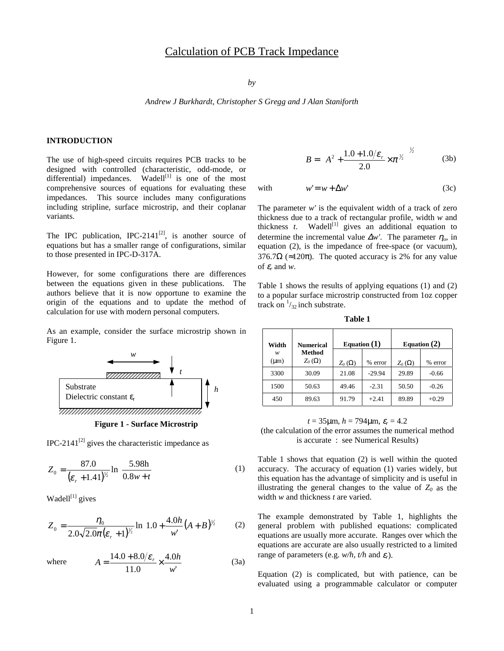# Calculation of PCB Track Impedance

*by*

*Andrew J Burkhardt, Christopher S Gregg and J Alan Staniforth*

# **INTRODUCTION**

The use of high-speed circuits requires PCB tracks to be designed with controlled (characteristic, odd-mode, or differential) impedances. Wadell<sup>[1]</sup> is one of the most comprehensive sources of equations for evaluating these impedances. This source includes many configurations including stripline, surface microstrip, and their coplanar variants.

The IPC publication, IPC-2141 $^{[2]}$ , is another source of equations but has a smaller range of configurations, similar to those presented in IPC-D-317A.

However, for some configurations there are differences between the equations given in these publications. The authors believe that it is now opportune to examine the origin of the equations and to update the method of calculation for use with modern personal computers.

As an example, consider the surface microstrip shown in Figure 1.





IPC-2141 $^{[2]}$  gives the characteristic impedance as

$$
Z_0 = \frac{87.0}{(\varepsilon_r + 1.41)^{\frac{1}{2}}} \ln \left[ \frac{5.98 \text{h}}{0.8 w + t} \right] \tag{1}
$$

Wadell $[1]$  gives

$$
Z_0 = \frac{\eta_0}{2.0\sqrt{2.0\pi}(\varepsilon_r + 1)^{\frac{1}{2}}}\ln\left[1.0 + \frac{4.0h}{w'}(A+B)^{\frac{1}{2}}\right] \tag{2}
$$

where 
$$
A = \frac{14.0 + 8.0/\varepsilon_r}{11.0} \times \frac{4.0h}{w'}
$$
 (3a)

$$
B = \left(A^2 + \frac{1.0 + 1.0/\varepsilon_r}{2.0} \times \pi^{1/2}\right)^{1/2}
$$
 (3b)

with 
$$
w' = w + \Delta w'
$$
 (3c)

The parameter  $w'$  is the equivalent width of a track of zero thickness due to a track of rectangular profile, width *w* and thickness  $t$ . Wadell<sup>[1]</sup> gives an additional equation to determine the incremental value  $\Delta w'$ . The parameter  $\eta_o$ , in equation (2), is the impedance of free-space (or vacuum), 376.7 $\Omega$  (≈120 $\pi$ ). The quoted accuracy is 2% for any value of  $\varepsilon_r$  and *w*.

Table 1 shows the results of applying equations (1) and (2) to a popular surface microstrip constructed from 1oz copper track on  $\frac{1}{32}$  inch substrate.

**Table 1**

| Width          | <b>Numerical</b>        | Equation $(1)$ |          | Equation $(2)$ |         |
|----------------|-------------------------|----------------|----------|----------------|---------|
| w<br>$(\mu m)$ | Method<br>$Z_0(\Omega)$ | $Z_0(\Omega)$  | % error  | $Z_0(\Omega)$  | % error |
| 3300           | 30.09                   | 21.08          | $-29.94$ | 29.89          | $-0.66$ |
| 1500           | 50.63                   | 49.46          | $-2.31$  | 50.50          | $-0.26$ |
| 450            | 89.63                   | 91.79          | $+2.41$  | 89.89          | $+0.29$ |

 $t = 35 \mu m$ ,  $h = 794 \mu m$ ,  $\varepsilon_r = 4.2$ 

(the calculation of the error assumes the numerical method is accurate : see Numerical Results)

Table 1 shows that equation (2) is well within the quoted accuracy. The accuracy of equation (1) varies widely, but this equation has the advantage of simplicity and is useful in illustrating the general changes to the value of  $Z_0$  as the width *w* and thickness *t* are varied.

The example demonstrated by Table 1, highlights the general problem with published equations: complicated equations are usually more accurate. Ranges over which the equations are accurate are also usually restricted to a limited range of parameters (e.g.  $w/h$ ,  $t/h$  and  $\varepsilon_r$ ).

Equation (2) is complicated, but with patience, can be evaluated using a programmable calculator or computer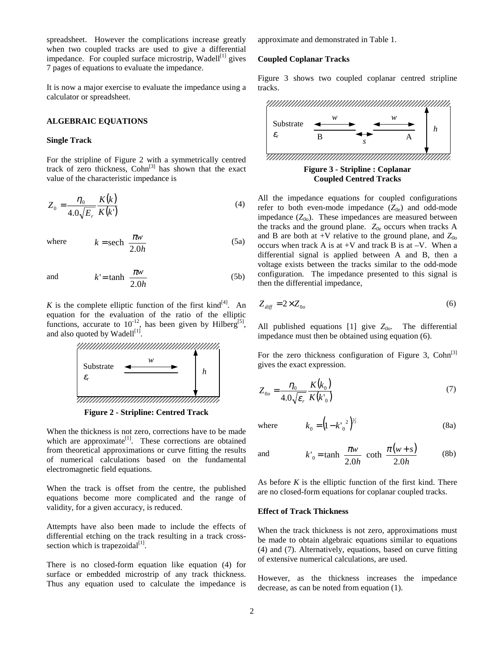spreadsheet. However the complications increase greatly when two coupled tracks are used to give a differential impedance. For coupled surface microstrip, Wadell<sup>[1]</sup> gives 7 pages of equations to evaluate the impedance.

It is now a major exercise to evaluate the impedance using a calculator or spreadsheet.

#### **ALGEBRAIC EQUATIONS**

#### **Single Track**

For the stripline of Figure 2 with a symmetrically centred track of zero thickness,  $Cohn^{[3]}$  has shown that the exact value of the characteristic impedance is

$$
Z_0 = \frac{\eta_0}{4.0\sqrt{E_r}} \frac{K(k)}{K(k')}
$$
\n(4)

where

$$
k = sech\left(\frac{\pi w}{2.0h}\right) \tag{5a}
$$

and 
$$
k' = \tanh\left(\frac{\pi w}{2.0h}\right)
$$
 (5b)

*K* is the complete elliptic function of the first kind<sup>[4]</sup>. An equation for the evaluation of the ratio of the elliptic functions, accurate to  $10^{-12}$ , has been given by Hilberg<sup>[5]</sup>, and also quoted by Wadell<sup>[1]</sup>.



**Figure 2 - Stripline: Centred Track**

When the thickness is not zero, corrections have to be made which are approximate<sup>[1]</sup>. These corrections are obtained from theoretical approximations or curve fitting the results of numerical calculations based on the fundamental electromagnetic field equations.

When the track is offset from the centre, the published equations become more complicated and the range of validity, for a given accuracy, is reduced.

Attempts have also been made to include the effects of differential etching on the track resulting in a track crosssection which is trapezoidal $[1]$ .

There is no closed-form equation like equation (4) for surface or embedded microstrip of any track thickness. Thus any equation used to calculate the impedance is approximate and demonstrated in Table 1.

# **Coupled Coplanar Tracks**

Figure 3 shows two coupled coplanar centred stripline tracks.



**Coupled Centred Tracks**

All the impedance equations for coupled configurations refer to both even-mode impedance  $(Z_{0e})$  and odd-mode impedance  $(Z_{00})$ . These impedances are measured between the tracks and the ground plane.  $Z_{0e}$  occurs when tracks A and B are both at  $+V$  relative to the ground plane, and  $Z_{00}$ occurs when track A is at  $+V$  and track B is at  $-V$ . When a differential signal is applied between A and B, then a voltage exists between the tracks similar to the odd-mode configuration. The impedance presented to this signal is then the differential impedance,

$$
Z_{\text{diff}} = 2 \times Z_{0o} \tag{6}
$$

All published equations  $[1]$  give  $Z_{00}$ . The differential impedance must then be obtained using equation (6).

For the zero thickness configuration of Figure 3,  $Cohn^{[3]}$ gives the exact expression.

$$
Z_{0o} = \frac{\eta_0}{4.0\sqrt{\varepsilon_r}} \frac{K(k_0)}{K(k_0)}\tag{7}
$$

where

e 
$$
k_0 = (1 - k'_0)^{2/2}
$$
 (8a)

and 
$$
k'_0 = \tanh\left[\frac{\pi w}{2.0h}\right] \coth\left[\frac{\pi (w+s)}{2.0h}\right]
$$
 (8b)

As before *K* is the elliptic function of the first kind. There are no closed-form equations for coplanar coupled tracks.

#### **Effect of Track Thickness**

When the track thickness is not zero, approximations must be made to obtain algebraic equations similar to equations (4) and (7). Alternatively, equations, based on curve fitting of extensive numerical calculations, are used.

However, as the thickness increases the impedance decrease, as can be noted from equation (1).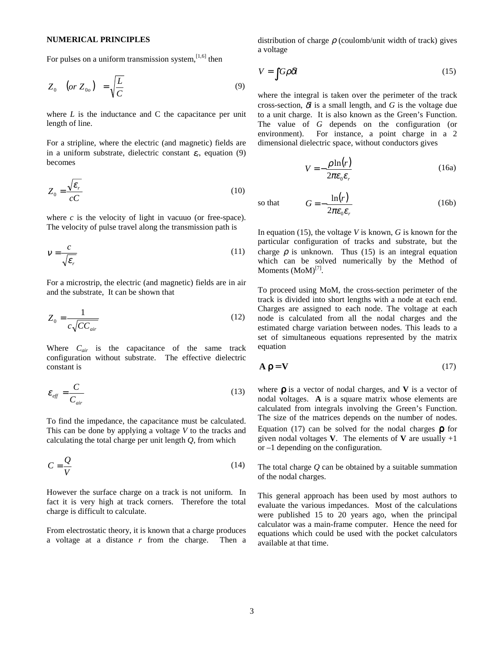### **NUMERICAL PRINCIPLES**

For pulses on a uniform transmission system, $[1,6]$  then

$$
Z_0 \quad (or \ Z_{0o}) = \sqrt{\frac{L}{C}} \tag{9}
$$

where  $L$  is the inductance and  $C$  the capacitance per unit length of line.

For a stripline, where the electric (and magnetic) fields are in a uniform substrate, dielectric constant  $\varepsilon_r$ , equation (9) becomes

$$
Z_0 = \frac{\sqrt{\varepsilon_r}}{cC} \tag{10}
$$

where *c* is the velocity of light in vacuuo (or free-space). The velocity of pulse travel along the transmission path is

$$
V = \frac{c}{\sqrt{\varepsilon_r}}\tag{11}
$$

For a microstrip, the electric (and magnetic) fields are in air and the substrate, It can be shown that

$$
Z_0 = \frac{1}{c\sqrt{CC_{air}}} \tag{12}
$$

Where  $C_{air}$  is the capacitance of the same track configuration without substrate. The effective dielectric constant is

$$
\varepsilon_{\text{eff}} = \frac{C}{C_{\text{air}}} \tag{13}
$$

To find the impedance, the capacitance must be calculated. This can be done by applying a voltage *V* to the tracks and calculating the total charge per unit length *Q*, from which

$$
C = \frac{Q}{V} \tag{14}
$$

However the surface charge on a track is not uniform. In fact it is very high at track corners. Therefore the total charge is difficult to calculate.

From electrostatic theory, it is known that a charge produces a voltage at a distance *r* from the charge. Then a distribution of charge  $\rho$  (coulomb/unit width of track) gives a voltage

$$
V = \int G \rho \delta l \tag{15}
$$

where the integral is taken over the perimeter of the track cross-section,  $\delta l$  is a small length, and G is the voltage due to a unit charge. It is also known as the Green's Function. The value of *G* depends on the configuration (or environment). For instance, a point charge in a 2 dimensional dielectric space, without conductors gives

$$
V = -\frac{\rho \ln(r)}{2\pi\varepsilon_0 \varepsilon_r} \tag{16a}
$$

so that 
$$
G = -\frac{\ln(r)}{2\pi\varepsilon_0\varepsilon_r}
$$
 (16b)

In equation (15), the voltage *V* is known, *G* is known for the particular configuration of tracks and substrate, but the charge  $\rho$  is unknown. Thus (15) is an integral equation which can be solved numerically by the Method of Moments  $(MoM)^{[7]}$ .

To proceed using MoM, the cross-section perimeter of the track is divided into short lengths with a node at each end. Charges are assigned to each node. The voltage at each node is calculated from all the nodal charges and the estimated charge variation between nodes. This leads to a set of simultaneous equations represented by the matrix equation

$$
\mathbf{A}\,\mathbf{p} = \mathbf{V} \tag{17}
$$

where ρ is a vector of nodal charges, and **V** is a vector of nodal voltages. **A** is a square matrix whose elements are calculated from integrals involving the Green's Function. The size of the matrices depends on the number of nodes. Equation (17) can be solved for the nodal charges  $\rho$  for given nodal voltages  $V$ . The elements of  $V$  are usually  $+1$ or –1 depending on the configuration.

The total charge *Q* can be obtained by a suitable summation of the nodal charges.

This general approach has been used by most authors to evaluate the various impedances. Most of the calculations were published 15 to 20 years ago, when the principal calculator was a main-frame computer. Hence the need for equations which could be used with the pocket calculators available at that time.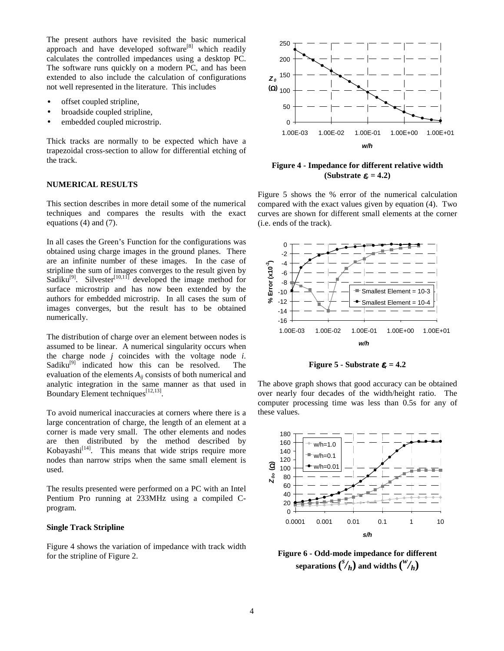The present authors have revisited the basic numerical approach and have developed software<sup>[8]</sup> which readily calculates the controlled impedances using a desktop PC. The software runs quickly on a modern PC, and has been extended to also include the calculation of configurations not well represented in the literature. This includes

- offset coupled stripline,
- broadside coupled stripline,
- embedded coupled microstrip.

Thick tracks are normally to be expected which have a trapezoidal cross-section to allow for differential etching of the track.

## **NUMERICAL RESULTS**

This section describes in more detail some of the numerical techniques and compares the results with the exact equations (4) and (7).

In all cases the Green's Function for the configurations was obtained using charge images in the ground planes. There are an infinite number of these images. In the case of stripline the sum of images converges to the result given by Sadiku<sup>[9]</sup>. Silvester<sup>[10,11]</sup> developed the image method for surface microstrip and has now been extended by the authors for embedded microstrip. In all cases the sum of images converges, but the result has to be obtained numerically.

The distribution of charge over an element between nodes is assumed to be linear. A numerical singularity occurs when the charge node *j* coincides with the voltage node *i*. Sadiku<sup>[9]</sup> indicated how this can be resolved. The evaluation of the elements  $A_{ii}$  consists of both numerical and analytic integration in the same manner as that used in Boundary Element techniques<sup>[12,13]</sup>.

To avoid numerical inaccuracies at corners where there is a large concentration of charge, the length of an element at a corner is made very small. The other elements and nodes are then distributed by the method described by  $Kobayashi<sup>[14]</sup>. This means that wide strips require more$ nodes than narrow strips when the same small element is used.

The results presented were performed on a PC with an Intel Pentium Pro running at 233MHz using a compiled Cprogram.

### **Single Track Stripline**

Figure 4 shows the variation of impedance with track width for the stripline of Figure 2.



## **Figure 4 - Impedance for different relative width (Substrate** <sup>ε</sup>*r* **= 4.2)**

Figure 5 shows the % error of the numerical calculation compared with the exact values given by equation (4). Two curves are shown for different small elements at the corner (i.e. ends of the track).



**Figure 5 - Substrate**  $\varepsilon_r = 4.2$ 

The above graph shows that good accuracy can be obtained over nearly four decades of the width/height ratio. The computer processing time was less than 0.5s for any of these values.



**Figure 6 - Odd-mode impedance for different** separations  $\binom{s}{h}$  and widths  $\binom{w}{h}$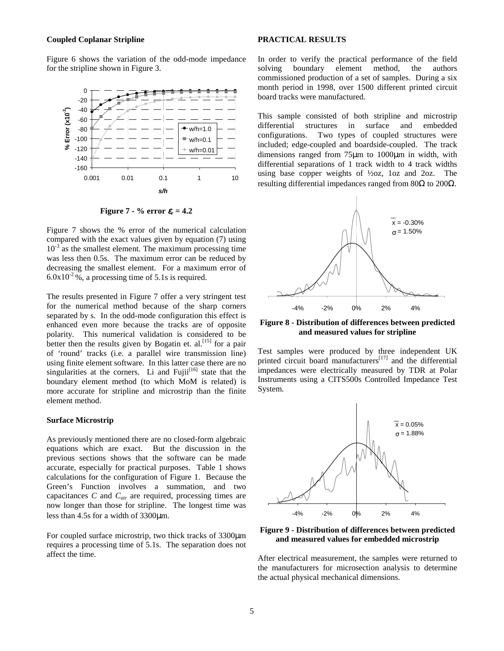### **Coupled Coplanar Stripline**

Figure 6 shows the variation of the odd-mode impedance for the stripline shown in Figure 3.



**Figure 7 - % error**  $\epsilon_r = 4.2$ 

Figure 7 shows the % error of the numerical calculation compared with the exact values given by equation (7) using  $10^{-3}$  as the smallest element. The maximum processing time was less then 0.5s. The maximum error can be reduced by decreasing the smallest element. For a maximum error of  $6.0x10^{-2}$ %, a processing time of 5.1s is required.

The results presented in Figure 7 offer a very stringent test for the numerical method because of the sharp corners separated by s. In the odd-mode configuration this effect is enhanced even more because the tracks are of opposite polarity. This numerical validation is considered to be better then the results given by Bogatin et.  $al$ <sup>[15]</sup> for a pair of 'round' tracks (i.e. a parallel wire transmission line) using finite element software. In this latter case there are no singularities at the corners. Li and  $Fuiii^{[16]}$  state that the boundary element method (to which MoM is related) is more accurate for stripline and microstrip than the finite element method.

#### **Surface Microstrip**

As previously mentioned there are no closed-form algebraic equations which are exact. But the discussion in the previous sections shows that the software can be made accurate, especially for practical purposes. Table 1 shows calculations for the configuration of Figure 1. Because the Green's Function involves a summation, and two capacitances *C* and *Cair* are required, processing times are now longer than those for stripline. The longest time was less than 4.5s for a width of 3300µm.

For coupled surface microstrip, two thick tracks of 3300µm requires a processing time of 5.1s. The separation does not affect the time.

#### **PRACTICAL RESULTS**

In order to verify the practical performance of the field solving boundary element method, the authors commissioned production of a set of samples. During a six month period in 1998, over 1500 different printed circuit board tracks were manufactured.

This sample consisted of both stripline and microstrip differential structures in surface and embedded configurations. Two types of coupled structures were included; edge-coupled and boardside-coupled. The track dimensions ranged from 75µm to 1000µm in width, with differential separations of 1 track width to 4 track widths using base copper weights of ½oz, 1oz and 2oz. The resulting differential impedances ranged from 80 $\Omega$  to 200 $\Omega$ .



**Figure 8 - Distribution of differences between predicted and measured values for stripline**

Test samples were produced by three independent UK printed circuit board manufacturers $[17]$  and the differential impedances were electrically measured by TDR at Polar Instruments using a CITS500s Controlled Impedance Test System.



**Figure 9 - Distribution of differences between predicted and measured values for embedded microstrip**

After electrical measurement, the samples were returned to the manufacturers for microsection analysis to determine the actual physical mechanical dimensions.